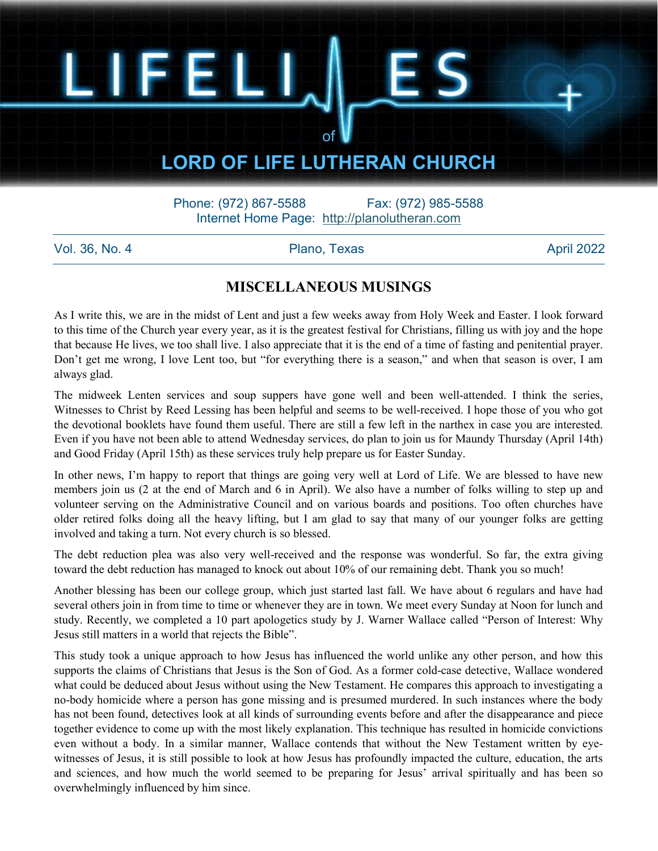### LORD OF LIFE LUTHERAN CHURCH

of

Phone: (972) 867-5588 Fax: (972) 985-5588 Internet Home Page: http://planolutheran.com

Vol. 36, No. 4 Plano, Texas April 2022

LIFEL

#### MISCELLANEOUS MUSINGS

As I write this, we are in the midst of Lent and just a few weeks away from Holy Week and Easter. I look forward to this time of the Church year every year, as it is the greatest festival for Christians, filling us with joy and the hope that because He lives, we too shall live. I also appreciate that it is the end of a time of fasting and penitential prayer. Don't get me wrong, I love Lent too, but "for everything there is a season," and when that season is over, I am always glad.

The midweek Lenten services and soup suppers have gone well and been well-attended. I think the series, Witnesses to Christ by Reed Lessing has been helpful and seems to be well-received. I hope those of you who got the devotional booklets have found them useful. There are still a few left in the narthex in case you are interested. Even if you have not been able to attend Wednesday services, do plan to join us for Maundy Thursday (April 14th) and Good Friday (April 15th) as these services truly help prepare us for Easter Sunday.

In other news, I'm happy to report that things are going very well at Lord of Life. We are blessed to have new members join us (2 at the end of March and 6 in April). We also have a number of folks willing to step up and volunteer serving on the Administrative Council and on various boards and positions. Too often churches have older retired folks doing all the heavy lifting, but I am glad to say that many of our younger folks are getting involved and taking a turn. Not every church is so blessed.

The debt reduction plea was also very well-received and the response was wonderful. So far, the extra giving toward the debt reduction has managed to knock out about 10% of our remaining debt. Thank you so much!

Another blessing has been our college group, which just started last fall. We have about 6 regulars and have had several others join in from time to time or whenever they are in town. We meet every Sunday at Noon for lunch and study. Recently, we completed a 10 part apologetics study by J. Warner Wallace called "Person of Interest: Why Jesus still matters in a world that rejects the Bible".

This study took a unique approach to how Jesus has influenced the world unlike any other person, and how this supports the claims of Christians that Jesus is the Son of God. As a former cold-case detective, Wallace wondered what could be deduced about Jesus without using the New Testament. He compares this approach to investigating a no-body homicide where a person has gone missing and is presumed murdered. In such instances where the body has not been found, detectives look at all kinds of surrounding events before and after the disappearance and piece together evidence to come up with the most likely explanation. This technique has resulted in homicide convictions even without a body. In a similar manner, Wallace contends that without the New Testament written by eyewitnesses of Jesus, it is still possible to look at how Jesus has profoundly impacted the culture, education, the arts and sciences, and how much the world seemed to be preparing for Jesus' arrival spiritually and has been so overwhelmingly influenced by him since.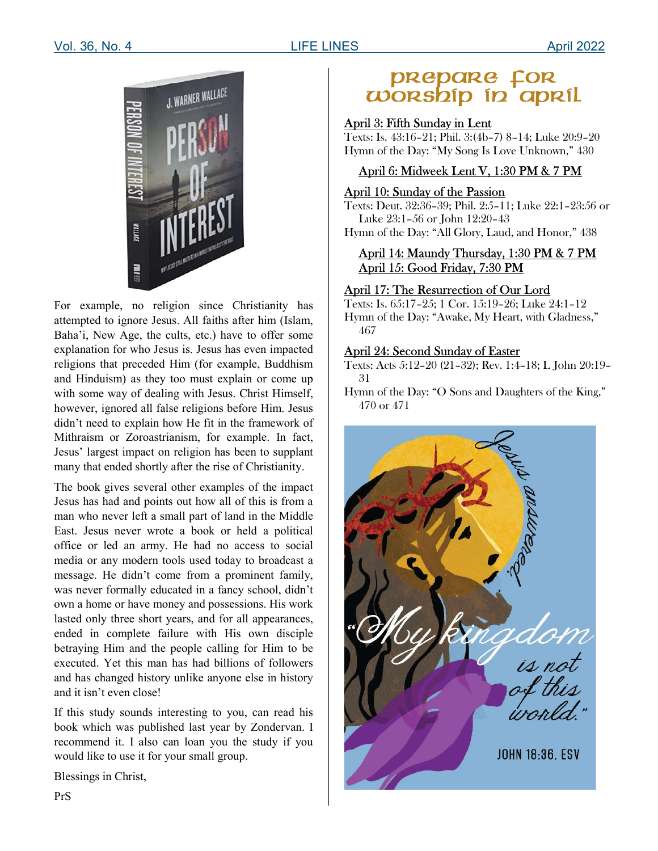

For example, no religion since Christianity has attempted to ignore Jesus. All faiths after him (Islam, Baha'i, New Age, the cults, etc.) have to offer some explanation for who Jesus is. Jesus has even impacted religions that preceded Him (for example, Buddhism and Hinduism) as they too must explain or come up with some way of dealing with Jesus. Christ Himself, however, ignored all false religions before Him. Jesus didn't need to explain how He fit in the framework of Mithraism or Zoroastrianism, for example. In fact, Jesus' largest impact on religion has been to supplant many that ended shortly after the rise of Christianity.

The book gives several other examples of the impact Jesus has had and points out how all of this is from a man who never left a small part of land in the Middle East. Jesus never wrote a book or held a political office or led an army. He had no access to social media or any modern tools used today to broadcast a message. He didn't come from a prominent family, was never formally educated in a fancy school, didn't own a home or have money and possessions. His work lasted only three short years, and for all appearances, ended in complete failure with His own disciple betraying Him and the people calling for Him to be executed. Yet this man has had billions of followers and has changed history unlike anyone else in history and it isn't even close!

If this study sounds interesting to you, can read his book which was published last year by Zondervan. I recommend it. I also can loan you the study if you would like to use it for your small group.

Blessings in Christ,

# prepare for<br>Worship in april

#### April 3: Fifth Sunday in Lent

Texts: Is. 43:16–21; Phil. 3:(4b–7) 8–14; Luke 20:9–20 Hymn of the Day: "My Song Is Love Unknown," 430

#### April 6: Midweek Lent V, 1:30 PM & 7 PM

#### April 10: Sunday of the Passion

Texts: Deut. 32:36–39; Phil. 2:5–11; Luke 22:1–23:56 or Luke 23:1–56 or John 12:20–43

Hymn of the Day: "All Glory, Laud, and Honor," 438

#### April 14: Maundy Thursday, 1:30 PM & 7 PM April 15: Good Friday, 7:30 PM

#### April 17: The Resurrection of Our Lord

Texts: Is. 65:17–25; 1 Cor. 15:19–26; Luke 24:1–12 Hymn of the Day: "Awake, My Heart, with Gladness," 467

#### April 24: Second Sunday of Easter

Texts: Acts 5:12–20 (21–32); Rev. 1:4–18; L John 20:19– 31

Hymn of the Day: "O Sons and Daughters of the King," 470 or 471

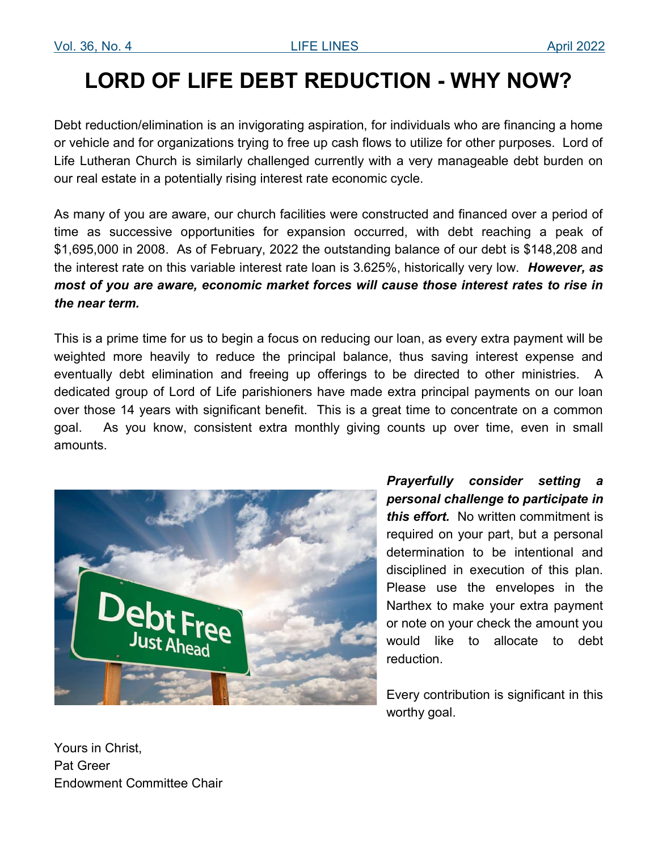## LORD OF LIFE DEBT REDUCTION - WHY NOW?

Debt reduction/elimination is an invigorating aspiration, for individuals who are financing a home or vehicle and for organizations trying to free up cash flows to utilize for other purposes. Lord of Life Lutheran Church is similarly challenged currently with a very manageable debt burden on our real estate in a potentially rising interest rate economic cycle.

As many of you are aware, our church facilities were constructed and financed over a period of time as successive opportunities for expansion occurred, with debt reaching a peak of \$1,695,000 in 2008. As of February, 2022 the outstanding balance of our debt is \$148,208 and the interest rate on this variable interest rate loan is 3.625%, historically very low. However, as most of you are aware, economic market forces will cause those interest rates to rise in the near term.

This is a prime time for us to begin a focus on reducing our loan, as every extra payment will be weighted more heavily to reduce the principal balance, thus saving interest expense and eventually debt elimination and freeing up offerings to be directed to other ministries. A dedicated group of Lord of Life parishioners have made extra principal payments on our loan over those 14 years with significant benefit. This is a great time to concentrate on a common goal. As you know, consistent extra monthly giving counts up over time, even in small amounts.



Prayerfully consider setting a personal challenge to participate in this effort. No written commitment is required on your part, but a personal determination to be intentional and disciplined in execution of this plan. Please use the envelopes in the Narthex to make your extra payment or note on your check the amount you would like to allocate to debt reduction.

Every contribution is significant in this worthy goal.

Yours in Christ, Pat Greer Endowment Committee Chair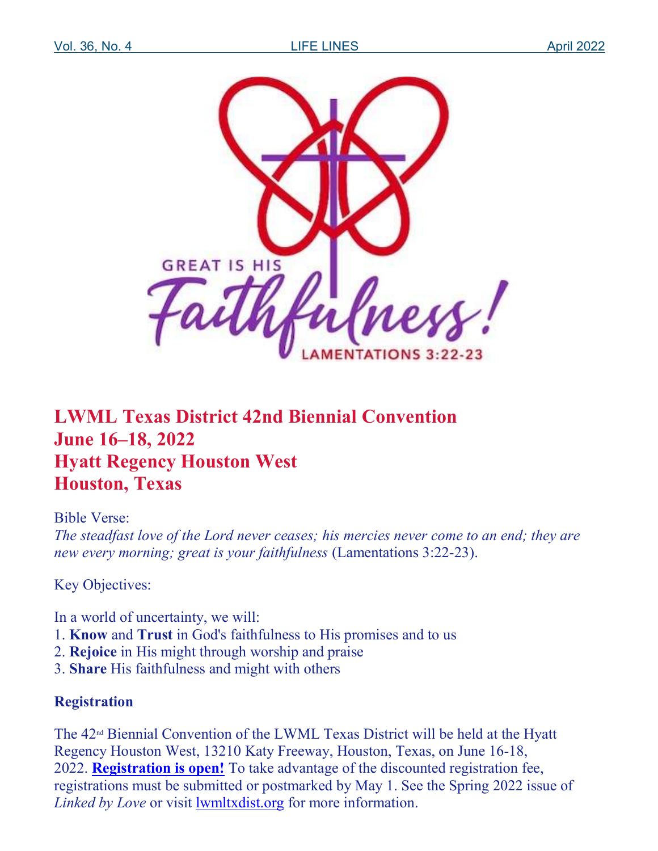

### LWML Texas District 42nd Biennial Convention June 16–18, 2022 Hyatt Regency Houston West Houston, Texas

### Bible Verse:

The steadfast love of the Lord never ceases; his mercies never come to an end; they are new every morning; great is your faithfulness (Lamentations 3:22-23).

Key Objectives:

In a world of uncertainty, we will:

- 1. Know and Trust in God's faithfulness to His promises and to us
- 2. Rejoice in His might through worship and praise
- 3. Share His faithfulness and might with others

### Registration

The 42nd Biennial Convention of the LWML Texas District will be held at the Hyatt Regency Houston West, 13210 Katy Freeway, Houston, Texas, on June 16-18, 2022. **Registration is open!** To take advantage of the discounted registration fee, registrations must be submitted or postmarked by May 1. See the Spring 2022 issue of Linked by Love or visit lwmltxdist.org for more information.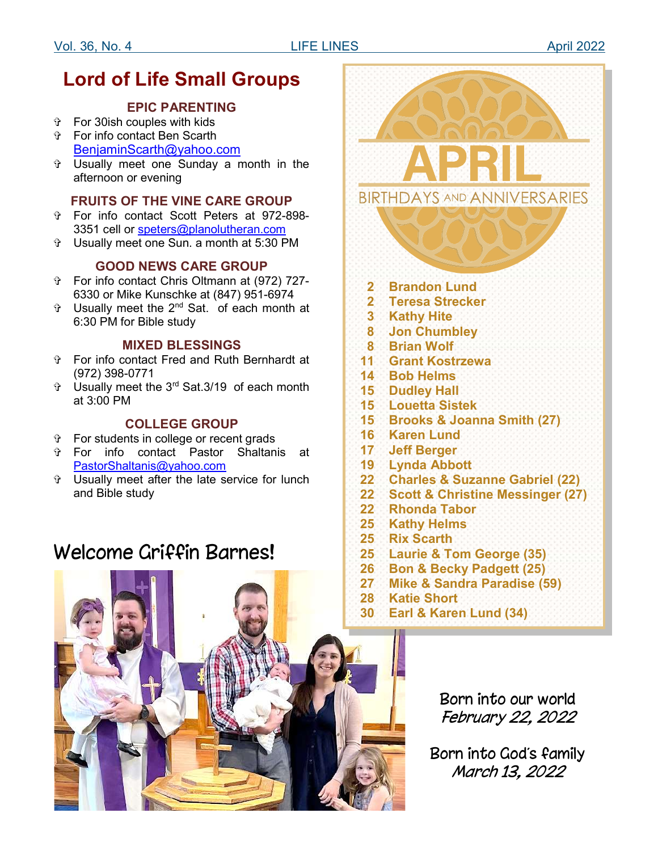### Lord of Life Small Groups

#### EPIC PARENTING

- For 30ish couples with kids For info contact Ben Scarth
- BenjaminScarth@yahoo.com
- Usually meet one Sunday a month in the afternoon or evening

#### FRUITS OF THE VINE CARE GROUP

- For info contact Scott Peters at 972-898- 3351 cell or speters@planolutheran.com
- Usually meet one Sun. a month at 5:30 PM

#### GOOD NEWS CARE GROUP

- For info contact Chris Oltmann at (972) 727- 6330 or Mike Kunschke at (847) 951-6974
- Usually meet the 2nd Sat. of each month at 6:30 PM for Bible study

#### MIXED BLESSINGS

- For info contact Fred and Ruth Bernhardt at (972) 398-0771
- Usually meet the 3rd Sat.3/19 of each month at 3:00 PM

#### COLLEGE GROUP

- For students in college or recent grads
- For info contact Pastor Shaltanis at PastorShaltanis@yahoo.com
- Usually meet after the late service for lunch and Bible study

### Welcome Griffin Barnes!





February 22, 2022

Born into God's family March 13, 2022